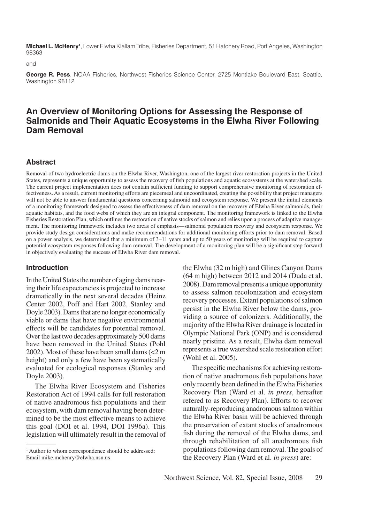**Michael L. McHenry1** , Lower Elwha Klallam Tribe, Fisheries Department, 51 Hatchery Road, Port Angeles, Washington 98363

and

**George R. Pess**, NOAA Fisheries, Northwest Fisheries Science Center, 2725 Montlake Boulevard East, Seattle, Washington 98112

# **An Overview of Monitoring Options for Assessing the Response of Salmonids and Their Aquatic Ecosystems in the Elwha River Following Dam Removal**

#### **Abstract**

Removal of two hydroelectric dams on the Elwha River, Washington, one of the largest river restoration projects in the United States, represents a unique opportunity to assess the recovery of fish populations and aquatic ecosystems at the watershed scale. The current project implementation does not contain sufficient funding to support comprehensive monitoring of restoration effectiveness. As a result, current monitoring efforts are piecemeal and uncoordinated, creating the possibility that project managers will not be able to answer fundamental questions concerning salmonid and ecosystem response. We present the initial elements of a monitoring framework designed to assess the effectiveness of dam removal on the recovery of Elwha River salmonids, their aquatic habitats, and the food webs of which they are an integral component. The monitoring framework is linked to the Elwha Fisheries Restoration Plan, which outlines the restoration of native stocks of salmon and relies upon a process of adaptive management. The monitoring framework includes two areas of emphasis—salmonid population recovery and ecosystem response. We provide study design considerations and make recommendations for additional monitoring efforts prior to dam removal. Based on a power analysis, we determined that a minimum of 3–11 years and up to 50 years of monitoring will be required to capture potential ecosystem responses following dam removal. The development of a monitoring plan will be a significant step forward in objectively evaluating the success of Elwha River dam removal.

#### **Introduction**

In the United States the number of aging dams nearing their life expectancies is projected to increase dramatically in the next several decades (Heinz Center 2002, Poff and Hart 2002, Stanley and Doyle 2003). Dams that are no longer economically viable or dams that have negative environmental effects will be candidates for potential removal. Over the last two decades approximately 500 dams have been removed in the United States (Pohl 2002). Most of these have been small dams (<2 m height) and only a few have been systematically evaluated for ecological responses (Stanley and Doyle 2003).

The Elwha River Ecosystem and Fisheries Restoration Act of 1994 calls for full restoration of native anadromous fish populations and their ecosystem, with dam removal having been determined to be the most effective means to achieve this goal (DOI et al. 1994, DOI 1996a). This legislation will ultimately result in the removal of the Elwha (32 m high) and Glines Canyon Dams (64 m high) between 2012 and 2014 (Duda et al. 2008). Dam removal presents a unique opportunity to assess salmon recolonization and ecosystem recovery processes. Extant populations of salmon persist in the Elwha River below the dams, providing a source of colonizers. Additionally, the majority of the Elwha River drainage is located in Olympic National Park (ONP) and is considered nearly pristine. As a result, Elwha dam removal represents a true watershed scale restoration effort (Wohl et al. 2005).

The specific mechanisms for achieving restoration of native anadromous fish populations have only recently been defined in the Elwha Fisheries Recovery Plan (Ward et al. *in press*, hereafter refered to as Recovery Plan). Efforts to recover naturally-reproducing anadromous salmon within the Elwha River basin will be achieved through the preservation of extant stocks of anadromous fish during the removal of the Elwha dams, and through rehabilitation of all anadromous fish populations following dam removal. The goals of the Recovery Plan (Ward et al. *in press*) are:

<sup>&</sup>lt;sup>1</sup> Author to whom correspondence should be addressed: Email mike.mchenry@elwha.nsn.us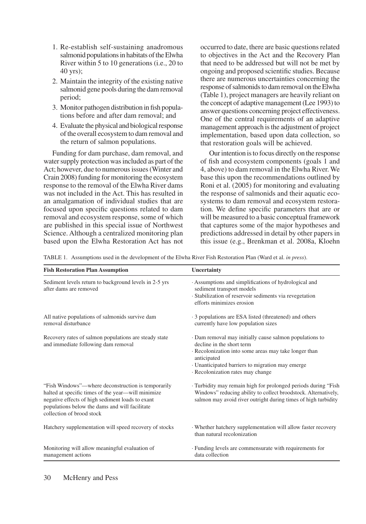- 1. Re-establish self-sustaining anadromous salmonid populations in habitats of the Elwha River within 5 to 10 generations (i.e., 20 to 40 yrs);
- 2. Maintain the integrity of the existing native salmonid gene pools during the dam removal period;
- 3. Monitor pathogen distribution in fish populations before and after dam removal; and
- 4. Evaluate the physical and biological response of the overall ecosystem to dam removal and the return of salmon populations.

Funding for dam purchase, dam removal, and water supply protection was included as part of the Act; however, due to numerous issues (Winter and Crain 2008) funding for monitoring the ecosystem response to the removal of the Elwha River dams was not included in the Act. This has resulted in an amalgamation of individual studies that are focused upon specific questions related to dam removal and ecosystem response, some of which are published in this special issue of Northwest Science. Although a centralized monitoring plan based upon the Elwha Restoration Act has not occurred to date, there are basic questions related to objectives in the Act and the Recovery Plan that need to be addressed but will not be met by ongoing and proposed scientific studies. Because there are numerous uncertainties concerning the response of salmonids to dam removal on the Elwha (Table 1), project managers are heavily reliant on the concept of adaptive management (Lee 1993) to answer questions concerning project effectiveness. One of the central requirements of an adaptive management approach is the adjustment of project implementation, based upon data collection, so that restoration goals will be achieved.

Our intention is to focus directly on the response of fish and ecosystem components (goals 1 and 4, above) to dam removal in the Elwha River. We base this upon the recommendations outlined by Roni et al. (2005) for monitoring and evaluating the response of salmonids and their aquatic ecosystems to dam removal and ecosystem restoration. We define specific parameters that are or will be measured to a basic conceptual framework that captures some of the major hypotheses and predictions addressed in detail by other papers in this issue (e.g., Brenkman et al. 2008a, Kloehn

TABLE 1. Assumptions used in the development of the Elwha River Fish Restoration Plan (Ward et al. *in press*).

| <b>Fish Restoration Plan Assumption</b>                                                                                                                                                                                                     | Uncertainty                                                                                                                                                                                                                                         |  |  |  |  |
|---------------------------------------------------------------------------------------------------------------------------------------------------------------------------------------------------------------------------------------------|-----------------------------------------------------------------------------------------------------------------------------------------------------------------------------------------------------------------------------------------------------|--|--|--|--|
| Sediment levels return to background levels in 2-5 yrs<br>after dams are removed                                                                                                                                                            | Assumptions and simplifications of hydrological and<br>sediment transport models<br>· Stabilization of reservoir sediments via revegetation<br>efforts minimizes erosion                                                                            |  |  |  |  |
| All native populations of salmonids survive dam<br>removal disturbance                                                                                                                                                                      | 3 populations are ESA listed (threatened) and others<br>currently have low population sizes                                                                                                                                                         |  |  |  |  |
| Recovery rates of salmon populations are steady state<br>and immediate following dam removal                                                                                                                                                | Dam removal may initially cause salmon populations to<br>decline in the short term<br>· Recolonization into some areas may take longer than<br>anticipated<br>· Unanticipated barriers to migration may emerge<br>· Recolonization rates may change |  |  |  |  |
| "Fish Windows"—where deconstruction is temporarily<br>halted at specific times of the year—will minimize<br>negative effects of high sediment loads to exant<br>populations below the dams and will facilitate<br>collection of brood stock | · Turbidity may remain high for prolonged periods during "Fish<br>Windows" reducing ability to collect broodstock. Alternatively,<br>salmon may avoid river outright during times of high turbidity                                                 |  |  |  |  |
| Hatchery supplementation will speed recovery of stocks                                                                                                                                                                                      | Whether hatchery supplementation will allow faster recovery<br>than natural recolonization                                                                                                                                                          |  |  |  |  |
| Monitoring will allow meaningful evaluation of<br>management actions                                                                                                                                                                        | · Funding levels are commensurate with requirements for<br>data collection                                                                                                                                                                          |  |  |  |  |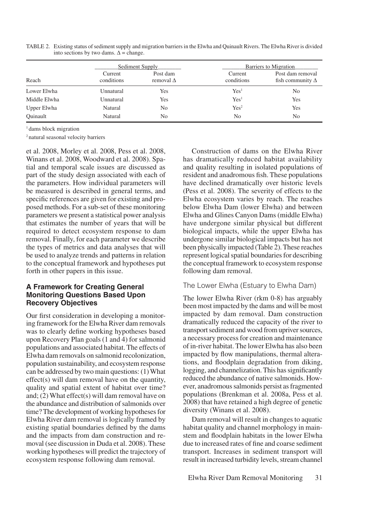| Reach        |                       | Sediment Supply              | Barriers to Migration |                                             |  |
|--------------|-----------------------|------------------------------|-----------------------|---------------------------------------------|--|
|              | Current<br>conditions | Post dam<br>removal $\Delta$ | Current<br>conditions | Post dam removal<br>fish community $\Delta$ |  |
| Lower Elwha  | Unnatural             | Yes                          | Yes <sup>1</sup>      | No                                          |  |
| Middle Elwha | Unnatural             | Yes                          | Yes <sup>1</sup>      | Yes                                         |  |
| Upper Elwha  | Natural               | No                           | Yes <sup>2</sup>      | Yes                                         |  |
| Ouinault     | Natural               | No                           | No                    | No                                          |  |

TABLE 2. Existing status of sediment supply and migration barriers in the Elwha and Quinault Rivers. The Elwha River is divided into sections by two dams.  $\Delta$  = change.

<sup>1</sup> dams block migration

2 natural seasonal velocity barriers

et al. 2008, Morley et al. 2008, Pess et al. 2008, Winans et al. 2008, Woodward et al. 2008). Spatial and temporal scale issues are discussed as part of the study design associated with each of the parameters. How individual parameters will be measured is described in general terms, and specific references are given for existing and proposed methods. For a sub-set of these monitoring parameters we present a statistical power analysis that estimates the number of years that will be required to detect ecosystem response to dam removal. Finally, for each parameter we describe the types of metrics and data analyses that will be used to analyze trends and patterns in relation to the conceptual framework and hypotheses put forth in other papers in this issue.

### **A Framework for Creating General Monitoring Questions Based Upon Recovery Objectives**

Our first consideration in developing a monitoring framework for the Elwha River dam removals was to clearly define working hypotheses based upon Recovery Plan goals (1 and 4) for salmonid populations and associated habitat. The effects of Elwha dam removals on salmonid recolonization, population sustainability, and ecosystem response can be addressed by two main questions: (1) What effect(s) will dam removal have on the quantity, quality and spatial extent of habitat over time? and; (2) What effect(s) will dam removal have on the abundance and distribution of salmonids over time? The development of working hypotheses for Elwha River dam removal is logically framed by existing spatial boundaries defined by the dams and the impacts from dam construction and removal (see discussion in Duda et al. 2008). These working hypotheses will predict the trajectory of ecosystem response following dam removal.

Construction of dams on the Elwha River has dramatically reduced habitat availability and quality resulting in isolated populations of resident and anadromous fish. These populations have declined dramatically over historic levels (Pess et al. 2008). The severity of effects to the Elwha ecosystem varies by reach. The reaches below Elwha Dam (lower Elwha) and between Elwha and Glines Canyon Dams (middle Elwha) have undergone similar physical but different biological impacts, while the upper Elwha has undergone similar biological impacts but has not been physically impacted (Table 2). These reaches represent logical spatial boundaries for describing the conceptual framework to ecosystem response following dam removal.

### The Lower Elwha (Estuary to Elwha Dam)

The lower Elwha River (rkm 0-8) has arguably been most impacted by the dams and will be most impacted by dam removal. Dam construction dramatically reduced the capacity of the river to transport sediment and wood from upriver sources, a necessary process for creation and maintenance of in-river habitat. The lower Elwha has also been impacted by flow manipulations, thermal alterations, and floodplain degradation from diking, logging, and channelization. This has significantly reduced the abundance of native salmonids. However, anadromous salmonids persist as fragmented populations (Brenkman et al. 2008a, Pess et al. 2008) that have retained a high degree of genetic diversity (Winans et al. 2008).

Dam removal will result in changes to aquatic habitat quality and channel morphology in mainstem and floodplain habitats in the lower Elwha due to increased rates of fine and coarse sediment transport. Increases in sediment transport will result in increased turbidity levels, stream channel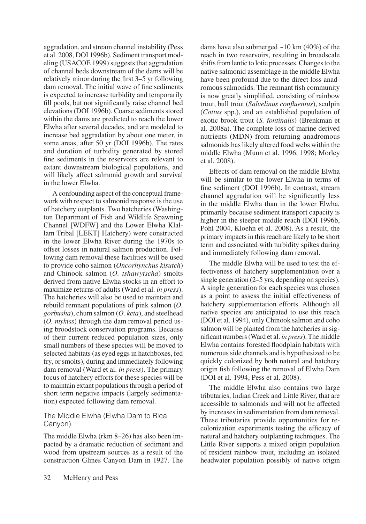aggradation, and stream channel instability (Pess et al. 2008, DOI 1996b). Sediment transport modeling (USACOE 1999) suggests that aggradation of channel beds downstream of the dams will be relatively minor during the first 3–5 yr following dam removal. The initial wave of fine sediments is expected to increase turbidity and temporarily fill pools, but not significantly raise channel bed elevations (DOI 1996b). Coarse sediments stored within the dams are predicted to reach the lower Elwha after several decades, and are modeled to increase bed aggradation by about one meter, in some areas, after 50 yr (DOI 1996b). The rates and duration of turbidity generated by stored fine sediments in the reservoirs are relevant to extant downstream biological populations, and will likely affect salmonid growth and survival in the lower Elwha.

A confounding aspect of the conceptual framework with respect to salmonid response is the use of hatchery outplants. Two hatcheries (Washington Department of Fish and Wildlife Spawning Channel [WDFW] and the Lower Elwha Klallam Tribal [LEKT] Hatchery) were constructed in the lower Elwha River during the 1970s to offset losses in natural salmon production. Following dam removal these facilities will be used to provide coho salmon (*Oncorhynchus kisutch*) and Chinook salmon (*O. tshawytscha*) smolts derived from native Elwha stocks in an effort to maximize returns of adults (Ward et al. *in press*). The hatcheries will also be used to maintain and rebuild remnant populations of pink salmon (*O. gorbusha*), chum salmon (*O. keta*), and steelhead (*O. mykiss*) through the dam removal period using broodstock conservation programs. Because of their current reduced population sizes, only small numbers of these species will be moved to selected habitats (as eyed eggs in hatchboxes, fed fry, or smolts), during and immediately following dam removal (Ward et al. *in press*). The primary focus of hatchery efforts for these species will be to maintain extant populations through a period of short term negative impacts (largely sedimentation) expected following dam removal.

### The Middle Elwha (Elwha Dam to Rica Canyon).

The middle Elwha (rkm 8–26) has also been impacted by a dramatic reduction of sediment and wood from upstream sources as a result of the construction Glines Canyon Dam in 1927. The dams have also submerged  $\sim$ 10 km (40%) of the reach in two reservoirs, resulting in broadscale shifts from lentic to lotic processes. Changes to the native salmonid assemblage in the middle Elwha have been profound due to the direct loss anadromous salmonids. The remnant fish community is now greatly simplified, consisting of rainbow trout, bull trout (*Salvelinus confluentus*), sculpin (*Cottus* spp.), and an established population of exotic brook trout (*S. fontinalis*) (Brenkman et al. 2008a). The complete loss of marine derived nutrients (MDN) from returning anadromous salmonids has likely altered food webs within the middle Elwha (Munn et al. 1996, 1998; Morley et al. 2008).

Effects of dam removal on the middle Elwha will be similar to the lower Elwha in terms of fine sediment (DOI 1996b). In contrast, stream channel aggradation will be significantly less in the middle Elwha than in the lower Elwha, primarily because sediment transport capacity is higher in the steeper middle reach (DOI 1996b, Pohl 2004, Kloehn et al. 2008). As a result, the primary impacts in this reach are likely to be short term and associated with turbidity spikes during and immediately following dam removal.

The middle Elwha will be used to test the effectiveness of hatchery supplementation over a single generation (2–5 yrs, depending on species). A single generation for each species was chosen as a point to assess the initial effectiveness of hatchery supplementation efforts. Although all native species are anticipated to use this reach (DOI et al. 1994), only Chinook salmon and coho salmon will be planted from the hatcheries in significant numbers (Ward et al. *in press*). The middle Elwha contains forested floodplain habitats with numerous side channels and is hypothesized to be quickly colonized by both natural and hatchery origin fish following the removal of Elwha Dam (DOI et al. 1994, Pess et al. 2008).

The middle Elwha also contains two large tributaries, Indian Creek and Little River, that are accessible to salmonids and will not be affected by increases in sedimentation from dam removal. These tributaries provide opportunities for recolonization experiments testing the efficacy of natural and hatchery outplanting techniques. The Little River supports a mixed origin population of resident rainbow trout, including an isolated headwater population possibly of native origin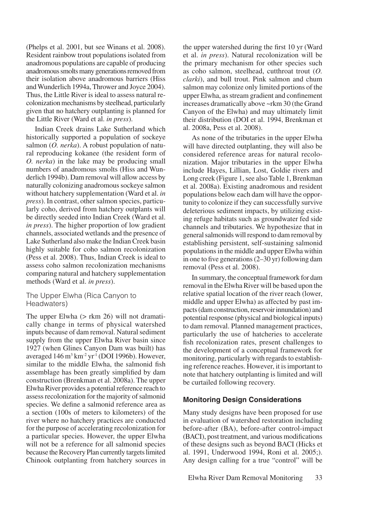(Phelps et al. 2001, but see Winans et al. 2008). Resident rainbow trout populations isolated from anadromous populations are capable of producing anadromous smolts many generations removed from their isolation above anadromous barriers (Hiss and Wunderlich 1994a, Thrower and Joyce 2004). Thus, the Little River is ideal to assess natural recolonization mechanisms by steelhead, particularly given that no hatchery outplanting is planned for the Little River (Ward et al. *in press*).

Indian Creek drains Lake Sutherland which historically supported a population of sockeye salmon (*O. nerka*). A robust population of natural reproducing kokanee (the resident form of *O. nerka*) in the lake may be producing small numbers of anadromous smolts (Hiss and Wunderlich 1994b). Dam removal will allow access by naturally colonizing anadromous sockeye salmon without hatchery supplementation (Ward et al. *in press*). In contrast, other salmon species, particularly coho, derived from hatchery outplants will be directly seeded into Indian Creek (Ward et al. *in press*). The higher proportion of low gradient channels, associated wetlands and the presence of Lake Sutherland also make the Indian Creek basin highly suitable for coho salmon recolonization (Pess et al. 2008). Thus, Indian Creek is ideal to assess coho salmon recolonization mechanisms comparing natural and hatchery supplementation methods (Ward et al. *in press*).

### The Upper Elwha (Rica Canyon to Headwaters)

The upper Elwha ( $>$  rkm 26) will not dramatically change in terms of physical watershed inputs because of dam removal. Natural sediment supply from the upper Elwha River basin since 1927 (when Glines Canyon Dam was built) has averaged  $146 \text{ m}^3 \text{ km}^{-2} \text{ yr}^1 \text{ (DOI 1996b)}$ . However, similar to the middle Elwha, the salmonid fish assemblage has been greatly simplified by dam construction (Brenkman et al. 2008a). The upper Elwha River provides a potential reference reach to assess recolonization for the majority of salmonid species. We define a salmonid reference area as a section (100s of meters to kilometers) of the river where no hatchery practices are conducted for the purpose of accelerating recolonization for a particular species. However, the upper Elwha will not be a reference for all salmonid species because the Recovery Plan currently targets limited Chinook outplanting from hatchery sources in

the upper watershed during the first 10 yr (Ward et al. *in press*). Natural recolonization will be the primary mechanism for other species such as coho salmon, steelhead, cutthroat trout (*O. clarki*), and bull trout. Pink salmon and chum salmon may colonize only limited portions of the upper Elwha, as stream gradient and confinement increases dramatically above ~rkm 30 (the Grand Canyon of the Elwha) and may ultimately limit their distribution (DOI et al. 1994, Brenkman et al. 2008a, Pess et al. 2008).

As none of the tributaries in the upper Elwha will have directed outplanting, they will also be considered reference areas for natural recolonization. Major tributaries in the upper Elwha include Hayes, Lillian, Lost, Goldie rivers and Long creek (Figure 1, see also Table 1, Brenkman et al. 2008a). Existing anadromous and resident populations below each dam will have the opportunity to colonize if they can successfully survive deleterious sediment impacts, by utilizing existing refuge habitats such as groundwater fed side channels and tributaries. We hypothesize that in general salmonids will respond to dam removal by establishing persistent, self-sustaining salmonid populations in the middle and upper Elwha within in one to five generations (2–30 yr) following dam removal (Pess et al. 2008).

In summary, the conceptual framework for dam removal in the Elwha River will be based upon the relative spatial location of the river reach (lower, middle and upper Elwha) as affected by past impacts (dam construction, reservoir innundation) and potential response (physical and biological inputs) to dam removal. Planned management practices, particularly the use of hatcheries to accelerate fish recolonization rates, present challenges to the development of a conceptual framework for monitoring, particularly with regards to establishing reference reaches. However, it is important to note that hatchery outplanting is limited and will be curtailed following recovery.

# **Monitoring Design Considerations**

Many study designs have been proposed for use in evaluation of watershed restoration including before-after (BA), before-after control-impact (BACI), post treatment, and various modifications of these designs such as beyond BACI (Hicks et al. 1991, Underwood 1994, Roni et al. 2005;). Any design calling for a true "control" will be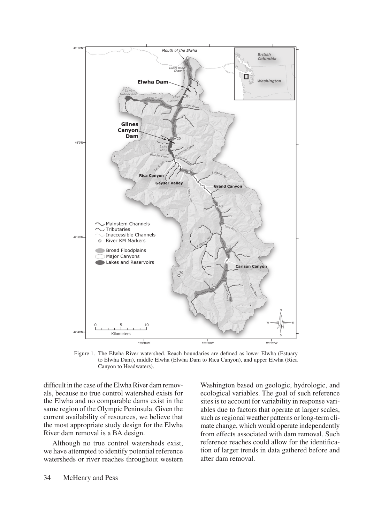

Figure 1. The Elwha River watershed. Reach boundaries are defined as lower Elwha (Estuary to Elwha Dam), middle Elwha (Elwha Dam to Rica Canyon), and upper Elwha (Rica Canyon to Headwaters).

difficult in the case of the Elwha River dam removals, because no true control watershed exists for the Elwha and no comparable dams exist in the same region of the Olympic Peninsula. Given the current availability of resources, we believe that the most appropriate study design for the Elwha River dam removal is a BA design.

Although no true control watersheds exist, we have attempted to identify potential reference watersheds or river reaches throughout western

Washington based on geologic, hydrologic, and ecological variables. The goal of such reference sites is to account for variability in response variables due to factors that operate at larger scales, such as regional weather patterns or long-term climate change, which would operate independently from effects associated with dam removal. Such reference reaches could allow for the identification of larger trends in data gathered before and after dam removal.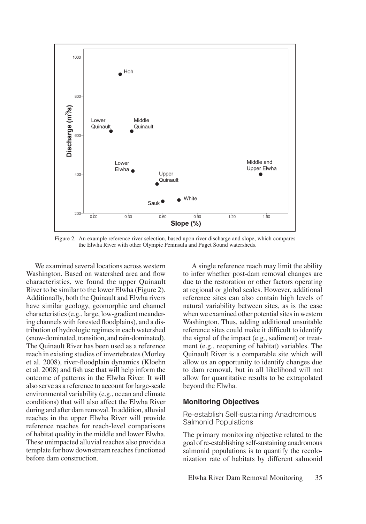

Figure 2. An example reference river selection, based upon river discharge and slope, which compares the Elwha River with other Olympic Peninsula and Puget Sound watersheds.

We examined several locations across western Washington. Based on watershed area and flow characteristics, we found the upper Quinault River to be similar to the lower Elwha (Figure 2). Additionally, both the Quinault and Elwha rivers have similar geology, geomorphic and channel characteristics (e.g., large, low-gradient meandering channels with forested floodplains), and a distribution of hydrologic regimes in each watershed (snow-dominated, transition, and rain-dominated). The Quinault River has been used as a reference reach in existing studies of invertebrates (Morley et al. 2008), river-floodplain dynamics (Kloehn et al. 2008) and fish use that will help inform the outcome of patterns in the Elwha River. It will also serve as a reference to account for large-scale environmental variability (e.g., ocean and climate conditions) that will also affect the Elwha River during and after dam removal. In addition, alluvial reaches in the upper Elwha River will provide reference reaches for reach-level comparisons of habitat quality in the middle and lower Elwha. These unimpacted alluvial reaches also provide a template for how downstream reaches functioned before dam construction.

A single reference reach may limit the ability to infer whether post-dam removal changes are due to the restoration or other factors operating at regional or global scales. However, additional reference sites can also contain high levels of natural variability between sites, as is the case when we examined other potential sites in western Washington. Thus, adding additional unsuitable reference sites could make it difficult to identify the signal of the impact (e.g., sediment) or treatment (e.g., reopening of habitat) variables. The Quinault River is a comparable site which will allow us an opportunity to identify changes due to dam removal, but in all likelihood will not allow for quantitative results to be extrapolated beyond the Elwha.

#### **Monitoring Objectives**

#### Re-establish Self-sustaining Anadromous Salmonid Populations

The primary monitoring objective related to the goal of re-establishing self-sustaining anadromous salmonid populations is to quantify the recolonization rate of habitats by different salmonid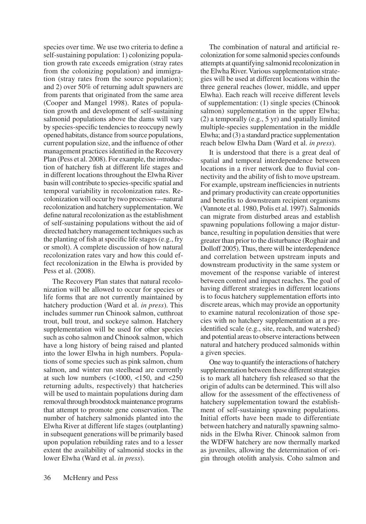species over time. We use two criteria to define a self-sustaining population: 1) colonizing population growth rate exceeds emigration (stray rates from the colonizing population) and immigration (stray rates from the source population); and 2) over 50% of returning adult spawners are from parents that originated from the same area (Cooper and Mangel 1998). Rates of population growth and development of self-sustaining salmonid populations above the dams will vary by species-specific tendencies to reoccupy newly opened habitats, distance from source populations, current population size, and the influence of other management practices identified in the Recovery Plan (Pess et al. 2008). For example, the introduction of hatchery fish at different life stages and in different locations throughout the Elwha River basin will contribute to species-specific spatial and temporal variability in recolonization rates. Recolonization will occur by two processes—natural recolonization and hatchery supplementation. We define natural recolonization as the establishment of self-sustaining populations without the aid of directed hatchery management techniques such as the planting of fish at specific life stages (e.g., fry or smolt). A complete discussion of how natural recolonization rates vary and how this could effect recolonization in the Elwha is provided by Pess et al. (2008).

The Recovery Plan states that natural recolonization will be allowed to occur for species or life forms that are not currently maintained by hatchery production (Ward et al. *in press*). This includes summer run Chinook salmon, cutthroat trout, bull trout, and sockeye salmon. Hatchery supplementation will be used for other species such as coho salmon and Chinook salmon, which have a long history of being raised and planted into the lower Elwha in high numbers. Populations of some species such as pink salmon, chum salmon, and winter run steelhead are currently at such low numbers  $\left($  <1000, <150, and <250 returning adults, respectively) that hatcheries will be used to maintain populations during dam removal through broodstock maintenance programs that attempt to promote gene conservation. The number of hatchery salmonids planted into the Elwha River at different life stages (outplanting) in subsequent generations will be primarily based upon population rebuilding rates and to a lesser extent the availability of salmonid stocks in the lower Elwha (Ward et al. *in press*).

The combination of natural and artificial recolonization for some salmonid species confounds attempts at quantifying salmonid recolonization in the Elwha River. Various supplementation strategies will be used at different locations within the three general reaches (lower, middle, and upper Elwha). Each reach will receive different levels of supplementation: (1) single species (Chinook salmon) supplementation in the upper Elwha; (2) a temporally (e.g., 5 yr) and spatially limited multiple-species supplementation in the middle Elwha; and (3) a standard practice supplementation reach below Elwha Dam (Ward et al. *in press*).

It is understood that there is a great deal of spatial and temporal interdependence between locations in a river network due to fluvial connectivity and the ability of fish to move upstream. For example, upstream inefficiencies in nutrients and primary productivity can create opportunities and benefits to downstream recipient organisms (Vannote et al. 1980, Polis et al. 1997). Salmonids can migrate from disturbed areas and establish spawning populations following a major disturbance, resulting in population densities that were greater than prior to the disturbance (Roghair and Dolloff 2005). Thus, there will be interdependence and correlation between upstream inputs and downstream productivity in the same system or movement of the response variable of interest between control and impact reaches. The goal of having different strategies in different locations is to focus hatchery supplementation efforts into discrete areas, which may provide an opportunity to examine natural recolonization of those species with no hatchery supplementation at a preidentified scale (e.g., site, reach, and watershed) and potential areas to observe interactions between natural and hatchery produced salmonids within a given species.

One way to quantify the interactions of hatchery supplementation between these different strategies is to mark all hatchery fish released so that the origin of adults can be determined. This will also allow for the assessment of the effectiveness of hatchery supplementation toward the establishment of self-sustaining spawning populations. Initial efforts have been made to differentiate between hatchery and naturally spawning salmonids in the Elwha River. Chinook salmon from the WDFW hatchery are now thermally marked as juveniles, allowing the determination of origin through otolith analysis. Coho salmon and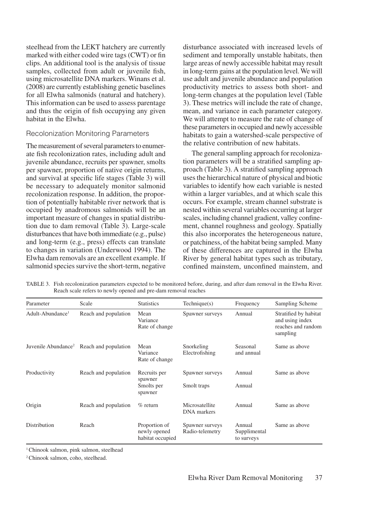steelhead from the LEKT hatchery are currently marked with either coded wire tags (CWT) or fin clips. An additional tool is the analysis of tissue samples, collected from adult or juvenile fish, using microsatellite DNA markers. Winans et al. (2008) are currently establishing genetic baselines for all Elwha salmonids (natural and hatchery). This information can be used to assess parentage and thus the origin of fish occupying any given habitat in the Elwha.

#### Recolonization Monitoring Parameters

The measurement of several parameters to enumerate fish recolonization rates, including adult and juvenile abundance, recruits per spawner, smolts per spawner, proportion of native origin returns, and survival at specific life stages (Table 3) will be necessary to adequately monitor salmonid recolonization response. In addition, the proportion of potentially habitable river network that is occupied by anadromous salmonids will be an important measure of changes in spatial distribution due to dam removal (Table 3). Large-scale disturbances that have both immediate (e.g., pulse) and long-term (e.g., press) effects can translate to changes in variation (Underwood 1994). The Elwha dam removals are an excellent example. If salmonid species survive the short-term, negative

disturbance associated with increased levels of sediment and temporally unstable habitats, then large areas of newly accessible habitat may result in long-term gains at the population level. We will use adult and juvenile abundance and population productivity metrics to assess both short- and long-term changes at the population level (Table 3). These metrics will include the rate of change, mean, and variance in each parameter category. We will attempt to measure the rate of change of these parameters in occupied and newly accessible habitats to gain a watershed-scale perspective of the relative contribution of new habitats.

The general sampling approach for recolonization parameters will be a stratified sampling approach (Table 3). A stratified sampling approach uses the hierarchical nature of physical and biotic variables to identify how each variable is nested within a larger variables, and at which scale this occurs. For example, stream channel substrate is nested within several variables occurring at larger scales, including channel gradient, valley confinement, channel roughness and geology. Spatially this also incorporates the heterogeneous nature, or patchiness, of the habitat being sampled. Many of these differences are captured in the Elwha River by general habitat types such as tributary, confined mainstem, unconfined mainstem, and

| TABLE 3. Fish recolonization parameters expected to be monitored before, during, and after dam removal in the Elwha River. |
|----------------------------------------------------------------------------------------------------------------------------|
| Reach scale refers to newly opened and pre-dam removal reaches                                                             |
|                                                                                                                            |

| Parameter                    | Scale                                                | <b>Statistics</b>                                 | Technique(s)                         | Frequency                            | Sampling Scheme                                                            |
|------------------------------|------------------------------------------------------|---------------------------------------------------|--------------------------------------|--------------------------------------|----------------------------------------------------------------------------|
| Adult-Abundance <sup>1</sup> | Reach and population                                 | Mean<br>Variance<br>Rate of change                | Spawner surveys                      | Annual                               | Stratified by habitat<br>and using index<br>reaches and random<br>sampling |
|                              | Juvenile Abundance <sup>2</sup> Reach and population | Mean<br>Variance<br>Rate of change                | Snorkeling<br>Electrofishing         | Seasonal<br>and annual               | Same as above                                                              |
| Productivity                 | Reach and population                                 | Recruits per<br>spawner<br>Smolts per<br>spawner  | Spawner surveys<br>Smolt traps       | Annual<br>Annual                     | Same as above                                                              |
| Origin                       | Reach and population                                 | $\%$ return                                       | Microsatellite<br><b>DNA</b> markers | Annual                               | Same as above                                                              |
| Distribution                 | Reach                                                | Proportion of<br>newly opened<br>habitat occupied | Spawner surveys<br>Radio-telemetry   | Annual<br>Supplimental<br>to surveys | Same as above                                                              |

<sup>1</sup> Chinook salmon, pink salmon, steelhead

2 Chinook salmon, coho, steelhead.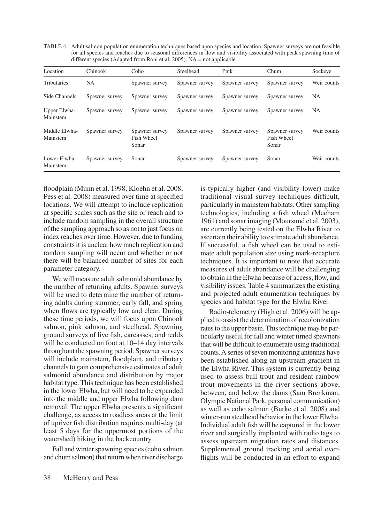TABLE 4. Adult salmon population enumeration techniques based upon species and location. Spawner surveys are not feasible for all species and reaches due to seasonal differences in flow and visibility associated with peak spawning time of different species (Adapted from Roni et al. 2005). NA = not applicable.

| Location                  | Chinook        | Coho                                  | Steelhead      | Pink           | Chum                                  | Sockeye     |
|---------------------------|----------------|---------------------------------------|----------------|----------------|---------------------------------------|-------------|
| <b>Tributaries</b>        | NA             | Spawner survey                        | Spawner survey | Spawner survey | Spawner survey                        | Weir counts |
| Side Channels             | Spawner survey | Spawner survey                        | Spawner survey | Spawner survey | Spawner survey                        | NA          |
| Upper Elwha-<br>Mainstem  | Spawner survey | Spawner survey                        | Spawner survey | Spawner survey | Spawner survey                        | NA          |
| Middle Elwha-<br>Mainstem | Spawner survey | Spawner survey<br>Fish Wheel<br>Sonar | Spawner survey | Spawner survey | Spawner survey<br>Fish Wheel<br>Sonar | Weir counts |
| Lower Elwha-<br>Mainstem  | Spawner survey | Sonar                                 | Spawner survey | Spawner survey | Sonar                                 | Weir counts |

floodplain (Munn et al. 1998, Kloehn et al. 2008, Pess et al. 2008) measured over time at specified locations. We will attempt to include replication at specific scales such as the site or reach and to include random sampling in the overall structure of the sampling approach so as not to just focus on index reaches over time. However, due to funding constraints it is unclear how much replication and random sampling will occur and whether or not there will be balanced number of sites for each parameter category.

We will measure adult salmonid abundance by the number of returning adults. Spawner surveys will be used to determine the number of returning adults during summer, early fall, and spring when flows are typically low and clear. During these time periods, we will focus upon Chinook salmon, pink salmon, and steelhead. Spawning ground surveys of live fish, carcasses, and redds will be conducted on foot at 10–14 day intervals throughout the spawning period. Spawner surveys will include mainstem, floodplain, and tributary channels to gain comprehensive estimates of adult salmonid abundance and distribution by major habitat type. This technique has been established in the lower Elwha, but will need to be expanded into the middle and upper Elwha following dam removal. The upper Elwha presents a significant challenge, as access to roadless areas at the limit of upriver fish distribution requires multi-day (at least 5 days for the uppermost portions of the watershed) hiking in the backcountry.

Fall and winter spawning species (coho salmon and chum salmon) that return when river discharge

is typically higher (and visibility lower) make traditional visual survey techniques difficult, particularly in mainstem habitats. Other sampling technologies, including a fish wheel (Meeham 1961) and sonar imaging (Moursund et al. 2003), are currently being tested on the Elwha River to ascertain their ability to estimate adult abundance. If successful, a fish wheel can be used to estimate adult population size using mark-recapture techniques. It is important to note that accurate measures of adult abundance will be challenging to obtain in the Elwha because of access, flow, and visibility issues. Table 4 summarizes the existing and projected adult enumeration techniques by species and habitat type for the Elwha River.

Radio-telemetry (High et al. 2006) will be applied to assist the determination of recolonization rates to the upper basin. This technique may be particularly useful for fall and winter timed spawners that will be difficult to enumerate using traditional counts. A series of seven monitoring antennas have been established along an upstream gradient in the Elwha River. This system is currently being used to assess bull trout and resident rainbow trout movements in the river sections above, between, and below the dams (Sam Brenkman, Olympic National Park, personal communication) as well as coho salmon (Burke et al. 2008) and winter-run steelhead behavior in the lower Elwha. Individual adult fish will be captured in the lower river and surgically implanted with radio tags to assess upstream migration rates and distances. Supplemental ground tracking and aerial overflights will be conducted in an effort to expand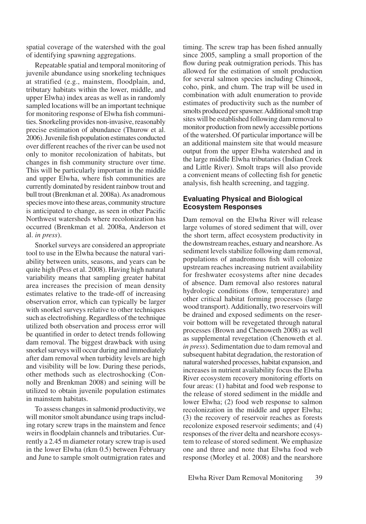spatial coverage of the watershed with the goal of identifying spawning aggregations.

Repeatable spatial and temporal monitoring of juvenile abundance using snorkeling techniques at stratified (e.g., mainstem, floodplain, and, tributary habitats within the lower, middle, and upper Elwha) index areas as well as in randomly sampled locations will be an important technique for monitoring response of Elwha fish communities. Snorkeling provides non-invasive, reasonably precise estimation of abundance (Thurow et al. 2006). Juvenile fish population estimates conducted over different reaches of the river can be used not only to monitor recolonization of habitats, but changes in fish community structure over time. This will be particularly important in the middle and upper Elwha, where fish communities are currently dominated by resident rainbow trout and bull trout (Brenkman et al. 2008a). As anadromous species move into these areas, community structure is anticipated to change, as seen in other Pacific Northwest watersheds where recolonization has occurred (Brenkman et al. 2008a, Anderson et al. *in press*).

Snorkel surveys are considered an appropriate tool to use in the Elwha because the natural variability between units, seasons, and years can be quite high (Pess et al. 2008). Having high natural variability means that sampling greater habitat area increases the precision of mean density estimates relative to the trade-off of increasing observation error, which can typically be larger with snorkel surveys relative to other techniques such as electrofishing. Regardless of the technique utilized both observation and process error will be quantified in order to detect trends following dam removal. The biggest drawback with using snorkel surveys will occur during and immediately after dam removal when turbidity levels are high and visibility will be low. During these periods, other methods such as electroshocking (Connolly and Brenkman 2008) and seining will be utilized to obtain juvenile population estimates in mainstem habitats.

To assess changes in salmonid productivity, we will monitor smolt abundance using traps including rotary screw traps in the mainstem and fence weirs in floodplain channels and tributaries. Currently a 2.45 m diameter rotary screw trap is used in the lower Elwha (rkm 0.5) between February and June to sample smolt outmigration rates and timing. The screw trap has been fished annually since 2005, sampling a small proportion of the flow during peak outmigration periods. This has allowed for the estimation of smolt production for several salmon species including Chinook, coho, pink, and chum. The trap will be used in combination with adult enumeration to provide estimates of productivity such as the number of smolts produced per spawner. Additional smolt trap sites will be established following dam removal to monitor production from newly accessible portions of the watershed. Of particular importance will be an additional mainstem site that would measure output from the upper Elwha watershed and in the large middle Elwha tributaries (Indian Creek and Little River). Smolt traps will also provide a convenient means of collecting fish for genetic analysis, fish health screening, and tagging.

### **Evaluating Physical and Biological Ecosystem Responses**

Dam removal on the Elwha River will release large volumes of stored sediment that will, over the short term, affect ecosystem productivity in the downstream reaches, estuary and nearshore. As sediment levels stabilize following dam removal, populations of anadromous fish will colonize upstream reaches increasing nutrient availability for freshwater ecosystems after nine decades of absence. Dam removal also restores natural hydrologic conditions (flow, temperature) and other critical habitat forming processes (large wood transport). Additionally, two reservoirs will be drained and exposed sediments on the reservoir bottom will be revegetated through natural processes (Brown and Chenoweth 2008) as well as supplemental revegetation (Chenoweth et al. *in press*). Sedimentation due to dam removal and subsequent habitat degradation, the restoration of natural watershed processes, habitat expansion, and increases in nutrient availability focus the Elwha River ecosystem recovery monitoring efforts on four areas: (1) habitat and food web response to the release of stored sediment in the middle and lower Elwha; (2) food web response to salmon recolonization in the middle and upper Elwha; (3) the recovery of reservoir reaches as forests recolonize exposed reservoir sediments; and (4) responses of the river delta and nearshore ecosystem to release of stored sediment. We emphasize one and three and note that Elwha food web response (Morley et al. 2008) and the nearshore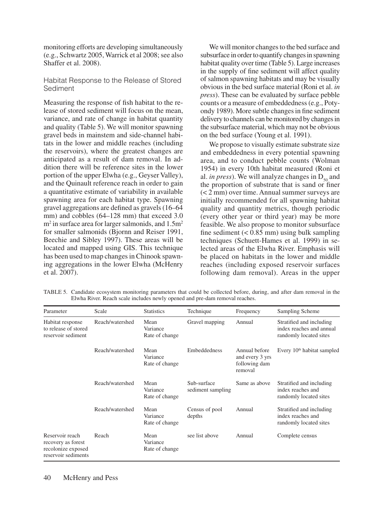monitoring efforts are developing simultaneously (e.g., Schwartz 2005, Warrick et al 2008; see also Shaffer et al. 2008).

### Habitat Response to the Release of Stored Sediment

Measuring the response of fish habitat to the release of stored sediment will focus on the mean, variance, and rate of change in habitat quantity and quality (Table 5). We will monitor spawning gravel beds in mainstem and side-channel habitats in the lower and middle reaches (including the reservoirs), where the greatest changes are anticipated as a result of dam removal. In addition there will be reference sites in the lower portion of the upper Elwha (e.g., Geyser Valley), and the Quinault reference reach in order to gain a quantitative estimate of variability in available spawning area for each habitat type. Spawning gravel aggregations are defined as gravels (16–64 mm) and cobbles (64–128 mm) that exceed 3.0  $m<sup>2</sup>$  in surface area for larger salmonids, and 1.5 $m<sup>2</sup>$ for smaller salmonids (Bjornn and Reiser 1991, Beechie and Sibley 1997). These areas will be located and mapped using GIS. This technique has been used to map changes in Chinook spawning aggregations in the lower Elwha (McHenry et al. 2007).

We will monitor changes to the bed surface and subsurface in order to quantify changes in spawning habitat quality over time (Table 5). Large increases in the supply of fine sediment will affect quality of salmon spawning habitats and may be visually obvious in the bed surface material (Roni et al. *in press*). These can be evaluated by surface pebble counts or a measure of embeddedness (e.g., Potyondy 1989). More subtle changes in fine sediment delivery to channels can be monitored by changes in the subsurface material, which may not be obvious on the bed surface (Young et al. 1991).

We propose to visually estimate substrate size and embeddedness in every potential spawning area, and to conduct pebble counts (Wolman 1954) in every 10th habitat measured (Roni et al. *in press*). We will analyze changes in  $D_{50}$  and the proportion of substrate that is sand or finer (< 2 mm) over time. Annual summer surveys are initially recommended for all spawning habitat quality and quantity metrics, though periodic (every other year or third year) may be more feasible. We also propose to monitor subsurface fine sediment  $(< 0.85$  mm) using bulk sampling techniques (Schuett-Hames et al. 1999) in selected areas of the Elwha River. Emphasis will be placed on habitats in the lower and middle reaches (including exposed reservoir surfaces following dam removal). Areas in the upper

| Parameter                                                                          | Scale           | <b>Statistics</b>                  | Technique                        | Frequency                                                    | Sampling Scheme                                                                |
|------------------------------------------------------------------------------------|-----------------|------------------------------------|----------------------------------|--------------------------------------------------------------|--------------------------------------------------------------------------------|
| Habitat response<br>to release of stored<br>reservoir sediment                     | Reach/watershed | Mean<br>Variance<br>Rate of change | Gravel mapping                   | Annual                                                       | Stratified and including<br>index reaches and annual<br>randomly located sites |
|                                                                                    | Reach/watershed | Mean<br>Variance<br>Rate of change | <b>Embeddedness</b>              | Annual before<br>and every 3 yrs<br>following dam<br>removal | Every $10th$ habitat sampled                                                   |
|                                                                                    | Reach/watershed | Mean<br>Variance<br>Rate of change | Sub-surface<br>sediment sampling | Same as above                                                | Stratified and including<br>index reaches and<br>randomly located sites        |
|                                                                                    | Reach/watershed | Mean<br>Variance<br>Rate of change | Census of pool<br>depths         | Annual                                                       | Stratified and including<br>index reaches and<br>randomly located sites        |
| Reservoir reach<br>recovery as forest<br>recolonize exposed<br>reservoir sediments | Reach           | Mean<br>Variance<br>Rate of change | see list above                   | Annual                                                       | Complete census                                                                |

TABLE 5. Candidate ecosystem monitoring parameters that could be collected before, during, and after dam removal in the Elwha River. Reach scale includes newly opened and pre-dam removal reaches.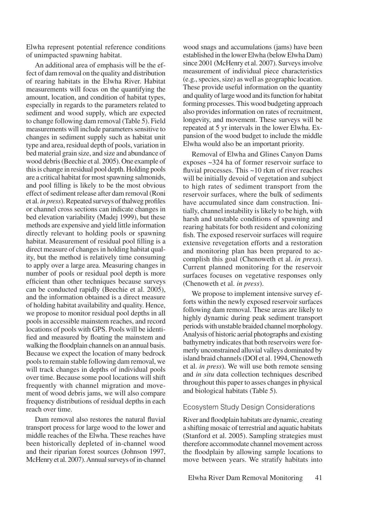Elwha represent potential reference conditions of unimpacted spawning habitat.

An additional area of emphasis will be the effect of dam removal on the quality and distribution of rearing habitats in the Elwha River. Habitat measurements will focus on the quantifying the amount, location, and condition of habitat types, especially in regards to the parameters related to sediment and wood supply, which are expected to change following dam removal (Table 5). Field measurements will include parameters sensitive to changes in sediment supply such as habitat unit type and area, residual depth of pools, variation in bed material grain size, and size and abundance of wood debris (Beechie et al. 2005). One example of this is change in residual pool depth. Holding pools are a critical habitat for most spawning salmonids, and pool filling is likely to be the most obvious effect of sediment release after dam removal (Roni et al. *in press*). Repeated surveys of thalweg profiles or channel cross sections can indicate changes in bed elevation variability (Madej 1999), but these methods are expensive and yield little information directly relevant to holding pools or spawning habitat. Measurement of residual pool filling is a direct measure of changes in holding habitat quality, but the method is relatively time consuming to apply over a large area. Measuring changes in number of pools or residual pool depth is more efficient than other techniques because surveys can be conducted rapidly (Beechie et al. 2005), and the information obtained is a direct measure of holding habitat availability and quality. Hence, we propose to monitor residual pool depths in all pools in accessible mainstem reaches, and record locations of pools with GPS. Pools will be identified and measured by floating the mainstem and walking the floodplain channels on an annual basis. Because we expect the location of many bedrock pools to remain stable following dam removal, we will track changes in depths of individual pools over time. Because some pool locations will shift frequently with channel migration and movement of wood debris jams, we will also compare frequency distributions of residual depths in each reach over time.

Dam removal also restores the natural fluvial transport process for large wood to the lower and middle reaches of the Elwha. These reaches have been historically depleted of in-channel wood and their riparian forest sources (Johnson 1997, McHenry et al. 2007). Annual surveys of in-channel

wood snags and accumulations (jams) have been established in the lower Elwha (below Elwha Dam) since 2001 (McHenry et al. 2007). Surveys involve measurement of individual piece characteristics (e.g., species, size) as well as geographic location. These provide useful information on the quantity and quality of large wood and its function for habitat forming processes. This wood budgeting approach also provides information on rates of recruitment, longevity, and movement. These surveys will be repeated at 5 yr intervals in the lower Elwha. Expansion of the wood budget to include the middle Elwha would also be an important priority.

Removal of Elwha and Glines Canyon Dams exposes ~324 ha of former reservoir surface to fluvial processes. This ~10 rkm of river reaches will be initially devoid of vegetation and subject to high rates of sediment transport from the reservoir surfaces, where the bulk of sediments have accumulated since dam construction. Initially, channel instability is likely to be high, with harsh and unstable conditions of spawning and rearing habitats for both resident and colonizing fish. The exposed reservoir surfaces will require extensive revegetation efforts and a restoration and monitoring plan has been prepared to accomplish this goal (Chenoweth et al. *in press*). Current planned monitoring for the reservoir surfaces focuses on vegetative responses only (Chenoweth et al. *in press*).

We propose to implement intensive survey efforts within the newly exposed reservoir surfaces following dam removal. These areas are likely to highly dynamic during peak sediment transport periods with unstable braided channel morphology. Analysis of historic aerial photographs and existing bathymetry indicates that both reservoirs were formerly unconstrained alluvial valleys dominated by island braid channels (DOI et al. 1994, Chenoweth et al. *in press*). We will use both remote sensing and *in situ* data collection techniques described throughout this paper to asses changes in physical and biological habitats (Table 5).

### Ecosystem Study Design Considerations

River and floodplain habitats are dynamic, creating a shifting mosaic of terrestrial and aquatic habitats (Stanford et al. 2005). Sampling strategies must therefore accommodate channel movement across the floodplain by allowing sample locations to move between years. We stratify habitats into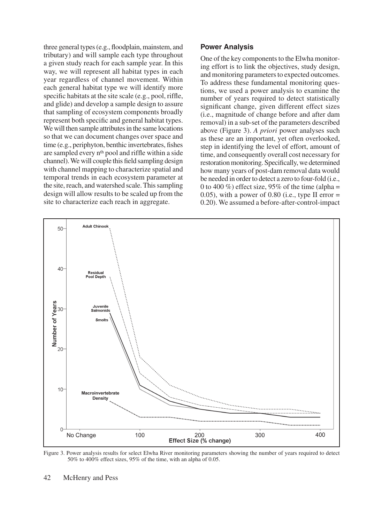three general types (e.g., floodplain, mainstem, and tributary) and will sample each type throughout a given study reach for each sample year. In this way, we will represent all habitat types in each year regardless of channel movement. Within each general habitat type we will identify more specific habitats at the site scale (e.g., pool, riffle, and glide) and develop a sample design to assure that sampling of ecosystem components broadly represent both specific and general habitat types. We will then sample attributes in the same locations so that we can document changes over space and time (e.g., periphyton, benthic invertebrates, fishes are sampled every nth pool and riffle within a side channel). We will couple this field sampling design with channel mapping to characterize spatial and temporal trends in each ecosystem parameter at the site, reach, and watershed scale. This sampling design will allow results to be scaled up from the site to characterize each reach in aggregate.

# **Power Analysis**

One of the key components to the Elwha monitoring effort is to link the objectives, study design, and monitoring parameters to expected outcomes. To address these fundamental monitoring questions, we used a power analysis to examine the number of years required to detect statistically significant change, given different effect sizes (i.e., magnitude of change before and after dam removal) in a sub-set of the parameters described above (Figure 3). *A priori* power analyses such as these are an important, yet often overlooked, step in identifying the level of effort, amount of time, and consequently overall cost necessary for restoration monitoring. Specifically, we determined how many years of post-dam removal data would be needed in order to detect a zero to four-fold (i.e., 0 to 400 %) effect size, 95% of the time (alpha = 0.05), with a power of 0.80 (i.e., type II error  $=$ 0.20). We assumed a before-after-control-impact



Figure 3. Power analysis results for select Elwha River monitoring parameters showing the number of years required to detect 50% to 400% effect sizes, 95% of the time, with an alpha of 0.05.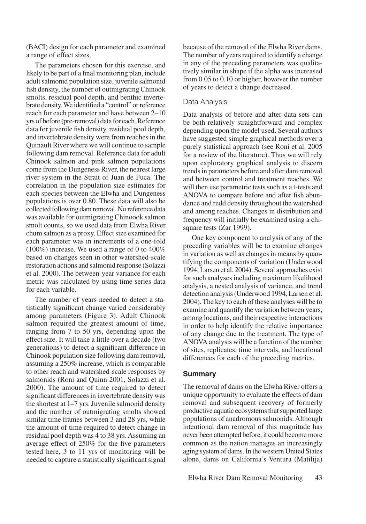(BACI) design for each parameter and examined a range of effect sizes.

The parameters chosen for this exercise, and likely to be part of a final monitoring plan, include adult salmonid population size, juvenile salmonid fish density, the number of outmigrating Chinook smolts, residual pool depth, and benthic invertebrate density. We identified a "control" or reference reach for each parameter and have between 2–10 yrs of before (pre-removal) data for each. Reference data for juvenile fish density, residual pool depth, and invertebrate density were from reaches in the Quinault River where we will continue to sample following dam removal. Reference data for adult Chinook salmon and pink salmon populations come from the Dungeness River, the nearest large river system in the Strait of Juan de Fuca. The correlation in the population size estimates for each species between the Elwha and Dungeness populations is over 0.80. These data will also be collected following dam removal. No reference data was available for outmigrating Chinoook salmon smolt counts, so we used data from Elwha River chum salmon as a proxy. Effect size examined for each parameter was in increments of a one-fold (100%) increase. We used a range of 0 to 400% based on changes seen in other watershed-scale restoration actions and salmonid response (Solazzi et al. 2000). The between-year variance for each metric was calculated by using time series data for each variable.

The number of years needed to detect a statistically significant change varied considerably among parameters (Figure 3). Adult Chinook salmon required the greatest amount of time, ranging from 7 to 50 yrs, depending upon the effect size. It will take a little over a decade (two generations) to detect a significant difference in Chinook population size following dam removal, assuming a 250% increase, which is comparable to other reach and watershed-scale responses by salmonids (Roni and Quinn 2001, Solazzi et al. 2000). The amount of time required to detect significant differences in invertebrate density was the shortest at 1–7 yrs. Juvenile salmonid density and the number of outmigrating smolts showed similar time frames between 3 and 28 yrs, while the amount of time required to detect change in residual pool depth was 4 to 38 yrs. Assuming an average effect of 250% for the five parameters tested here, 3 to 11 yrs of monitoring will be needed to capture a statistically significant signal because of the removal of the Elwha River dams. The number of years required to identify a change in any of the preceding parameters was qualitatively similar in shape if the alpha was increased from 0.05 to 0.10 or higher, however the number of years to detect a change decreased.

#### Data Analysis

Data analysis of before and after data sets can be both relatively straightforward and complex depending upon the model used. Several authors have suggested simple graphical methods over a purely statistical approach (see Roni et al. 2005 for a review of the literature). Thus we will rely upon exploratory graphical analysis to discern trends in parameters before and after dam removal and between control and treatment reaches. We will then use parametric tests such as a t-tests and ANOVA to compare before and after fish abundance and redd density throughout the watershed and among reaches. Changes in distribution and frequency will initially be examined using a chisquare tests (Zar 1999).

One key component to analysis of any of the preceding variables will be to examine changes in variation as well as changes in means by quantifying the components of variation (Underwood 1994, Larsen et al. 2004). Several approaches exist for such analyses including maximum likelihood analysis, a nested analysis of variance, and trend detection analysis (Underwood 1994, Larsen et al. 2004). The key to each of these analyses will be to examine and quantify the variation between years, among locations, and their respective interactions in order to help identify the relative importance of any change due to the treatment. The type of ANOVA analysis will be a function of the number of sites, replicates, time intervals, and locational differences for each of the preceding metrics.

#### **Summary**

The removal of dams on the Elwha River offers a unique opportunity to evaluate the effects of dam removal and subsequent recovery of formerly productive aquatic ecosystems that supported large populations of anadromous salmonids. Although intentional dam removal of this magnitude has never been attempted before, it could become more common as the nation manages an increasingly aging system of dams. In the western United States alone, dams on California's Ventura (Matilija)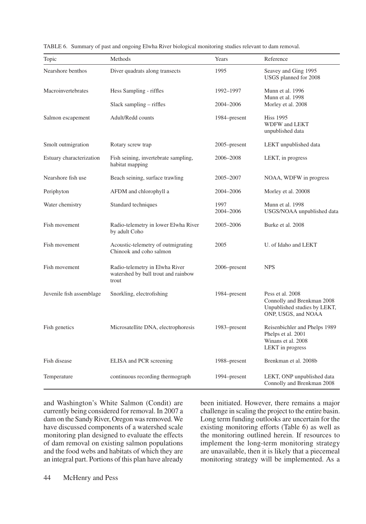| Topic                    | Methods                                                                        | Years             | Reference                                                                                             |
|--------------------------|--------------------------------------------------------------------------------|-------------------|-------------------------------------------------------------------------------------------------------|
| Nearshore benthos        | Diver quadrats along transects                                                 | 1995              | Seavey and Ging 1995<br>USGS planned for 2008                                                         |
| Macroinvertebrates       | Hess Sampling - riffles                                                        | 1992-1997         | Munn et al. 1996                                                                                      |
|                          | Slack sampling – riffles                                                       | 2004–2006         | Munn et al. 1998<br>Morley et al. 2008                                                                |
| Salmon escapement        | Adult/Redd counts                                                              | 1984–present      | <b>Hiss 1995</b><br>WDFW and LEKT<br>unpublished data                                                 |
| Smolt outmigration       | Rotary screw trap                                                              | $2005$ -present   | LEKT unpublished data                                                                                 |
| Estuary characterization | Fish seining, invertebrate sampling,<br>habitat mapping                        | 2006–2008         | LEKT, in progress                                                                                     |
| Nearshore fish use       | Beach seining, surface trawling                                                | 2005–2007         | NOAA, WDFW in progress                                                                                |
| Periphyton               | AFDM and chlorophyll a                                                         | 2004-2006         | Morley et al. 20008                                                                                   |
| Water chemistry          | Standard techniques                                                            | 1997<br>2004-2006 | Munn et al. 1998<br>USGS/NOAA unpublished data                                                        |
| Fish movement            | Radio-telemetry in lower Elwha River<br>by adult Coho                          | 2005–2006         | Burke et al. 2008                                                                                     |
| Fish movement            | Acoustic-telemetry of outmigrating<br>Chinook and coho salmon                  | 2005              | U. of Idaho and LEKT                                                                                  |
| Fish movement            | Radio-telemetry in Elwha River<br>watershed by bull trout and rainbow<br>trout | 2006–present      | <b>NPS</b>                                                                                            |
| Juvenile fish assemblage | Snorkling, electrofishing                                                      | 1984–present      | Pess et al. 2008<br>Connolly and Brenkman 2008<br>Unpublished studies by LEKT,<br>ONP, USGS, and NOAA |
| Fish genetics            | Microsatellite DNA, electrophoresis                                            | 1983–present      | Reisenbichler and Phelps 1989<br>Phelps et al. 2001<br>Winans et al. 2008<br>LEKT in progress         |
| Fish disease             | ELISA and PCR screening                                                        | 1988–present      | Brenkman et al. 2008b                                                                                 |
| Temperature              | continuous recording thermograph                                               | 1994–present      | LEKT, ONP unpublished data<br>Connolly and Brenkman 2008                                              |

|  |  |  |  |  | TABLE 6. Summary of past and ongoing Elwha River biological monitoring studies relevant to dam removal. |
|--|--|--|--|--|---------------------------------------------------------------------------------------------------------|
|--|--|--|--|--|---------------------------------------------------------------------------------------------------------|

and Washington's White Salmon (Condit) are currently being considered for removal. In 2007 a dam on the Sandy River, Oregon was removed. We have discussed components of a watershed scale monitoring plan designed to evaluate the effects of dam removal on existing salmon populations and the food webs and habitats of which they are an integral part. Portions of this plan have already been initiated. However, there remains a major challenge in scaling the project to the entire basin. Long term funding outlooks are uncertain for the existing monitoring efforts (Table 6) as well as the monitoring outlined herein. If resources to implement the long-term monitoring strategy are unavailable, then it is likely that a piecemeal monitoring strategy will be implemented. As a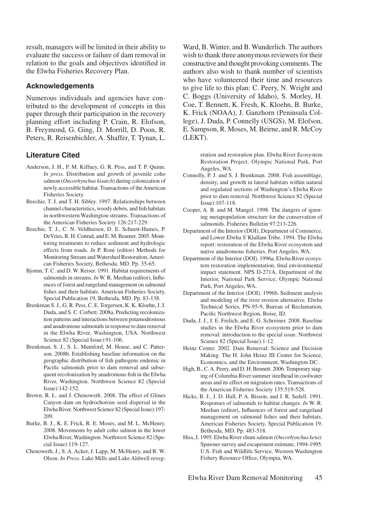result, managers will be limited in their ability to evaluate the success or failure of dam removal in relation to the goals and objectives identified in the Elwha Fisheries Recovery Plan.

#### **Acknowledgements**

Numerous individuals and agencies have contributed to the development of concepts in this paper through their participation in the recovery planning effort including P. Crain, R. Elofson, B. Freymond, G. Ging, D. Morrill, D. Poon, R. Peters, R. Reisenbichler, A. Shaffer, T. Tynan, L.

#### **Literature Cited**

- Anderson, J. H., P. M. Kiffney, G. R. Pess, and T. P. Quinn. *In press*. Distribution and growth of juvenile coho salmon (*Oncorhynchus kisutch*) during colonization of newly accessible habitat. Transactions of the American Fisheries Society.
- Beechie, T. J. and T. H. Sibley. 1997. Relationships between channel characteristics, woody debris, and fish habitats in northwestern Washington streams. Transactions of the American Fisheries Society 126:217-229.
- Beechie, T. J., C. N. Veldhuisen, D. E. Schuett-Hames, P. DeVries, R. H. Conrad, and E. M. Beamer. 2005. Monitoring treatments to reduce sediment and hydrologic effects from roads. *In* P. Roni (editor) Methods for Monitoring Stream and Watershed Restoration, American Fisheries Society, Bethesda, MD. Pp. 35-65.
- Bjornn, T. C. and D. W. Reiser. 1991. Habitat requirements of salmonids in streams. *In* W. R. Meehan (editor), Influences of forest and rangeland management on salmonid fishes and their habitats. American Fisheries Society, Special Publication 19, Bethesda, MD. Pp. 83-138.
- Brenkman S. J., G. R. Pess, C. E. Torgersen, K. K. Kloehn, J. J. Duda, and S. C. Corbett. 2008a. Predicting recolonization patterns and interactions between potamodromous and anadromous salmonids in response to dam removal in the Elwha River, Washington, USA. Northwest Science 82 (Special Issue):91-106.
- Brenkman, S. J., S. L. Mumford, M. House, and C. Patterson. 2008b. Establishing baseline information on the geographic distribution of fish pathogens endemic in Pacific salmonids prior to dam removal and subsequent recolonization by anadromous fish in the Elwha River, Washington. Northwest Science 82 (Special Issue):142-152.
- Brown, R. L. and J. Chenoweth. 2008. The effect of Glines Canyon dam on hydrochorous seed dispersal in the Elwha River. Northwest Science 82 (Special Issue):197- 209.
- Burke, B. J., K. E. Frick, R. E. Moses, and M. L. McHenry. 2008. Movements by adult coho salmon in the lower Elwha River, Washington. Northwest Science 82 (Special Issue):119-127.
- Chenoweth, J., S. A. Acker, J. Lapp, M. McHenry, and R. W. Olson. *In Press*. Lake Mills and Lake Aldwell reveg-

Ward, B. Winter, and B. Wunderlich. The authors wish to thank three anonymous reviewers for their constructive and thought provoking comments. The authors also wish to thank number of scientists who have volunteered their time and resources to give life to this plan: C. Peery, N. Wright and C. Boggs (University of Idaho), S. Morley, H. Coe, T. Bennett, K. Fresh, K. Kloehn, B. Burke, K. Frick (NOAA), J. Ganzhorn (Peninsula College), J. Duda, P. Connelly (USGS), M. Elofson, E. Sampson, R. Moses, M. Beirne, and R. McCoy (LEKT).

> etation and restoration plan. Elwha River Ecosystem Restoration Project. Olympic National Park, Port Angeles, WA.

- Connolly, P. J. and S. J. Brenkman. 2008. Fish assemblage, density, and growth in lateral habitats within natural and regulated sections of Washington's Elwha River prior to dam removal. Northwest Science 82 (Special Issue):107-118.
- Cooper, A. B. and M. Mangel. 1998. The dangers of ignoring metapopulation structure for the conservation of salmonids. Fisheries Bulletin 97:213-226.
- Department of the Interior (DOI), Department of Commerce, and Lower Elwha S'Klallam Tribe. 1994. The Elwha report: restoration of the Elwha River ecosystem and native anadromous fisheries. Port Angeles, WA.
- Department of the Interior (DOI). 1996a. Elwha River ecosystem restoration implementation, final environmental impact statement. NPS D-271A. Department of the Interior, National Park Service, Olympic National Park, Port Angeles, WA.
- Department of the Interior (DOI). 1996b. Sediment analysis and modeling of the river erosion alternative. Elwha Technical Series, PN-95-9, Bureau of Reclamation, Pacific Northwest Region, Boise, ID.
- Duda, J. J., J. E. Frelich, and E. G. Schreiner. 2008. Baseline studies in the Elwha River ecosystem prior to dam removal: introduction to the special issue. Northwest Science 82 (Special Issue):1-12.
- Heinz Center. 2002. Dam Removal: Science and Decision Making. The H. John Heinz III Center for Science, Economics, and the Environment, Washington DC.
- High, B., C. A. Peery, and D. H. Bennett. 2006. Temporary staging of Columbia River summer steelhead in coolwater areas and its effect on migration rates. Transactions of the American Fisheries Society 135:519-528.
- Hicks, B. J., J. D. Hall, P. A. Bisson, and J. R. Sedell. 1991. Responses of salmonids to habitat changes. *In* W. R. Meehan (editor), Influences of forest and rangeland management on salmonid fishes and their habitats. American Fisheries Society, Special Publication 19, Bethesda, MD. Pp. 483-518.
- Hiss, J. 1995. Elwha River chum salmon (*Oncorhynchus keta*): Spawner survey and escapement estimate, 1994-1995. U.S. Fish and Wildlife Service, Western Washington Fishery Resource Office, Olympia, WA.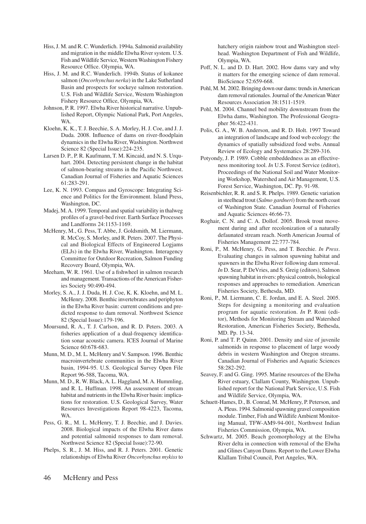- Hiss, J. M. and R. C. Wunderlich. 1994a. Salmonid availability and migration in the middle Elwha River system. U.S. Fish and Wildlife Service, Western Washington Fishery Resource Office. Olympia, WA.
- Hiss, J. M. and R.C. Wunderlich. 1994b. Status of kokanee salmon (*Oncorhynchus nerka*) in the Lake Sutherland Basin and prospects for sockeye salmon restoration. U.S. Fish and Wildlife Service, Western Washington Fishery Resource Office, Olympia, WA.
- Johnson, P. R. 1997. Elwha River historical narrative. Unpublished Report, Olympic National Park, Port Angeles, WA.
- Kloehn, K. K., T. J. Beechie, S. A. Morley, H. J. Coe, and J. J. Duda. 2008. Influence of dams on river-floodplain dynamics in the Elwha River, Washington. Northwest Science 82 (Special Issue):224-235.
- Larsen D. P., P. R. Kaufmann, T. M. Kincaid, and N. S. Urquhart. 2004. Detecting persistent change in the habitat of salmon-bearing streams in the Pacific Northwest. Canadian Journal of Fisheries and Aquatic Sciences 61:283-291.
- Lee, K. N. 1993. Compass and Gyroscope: Integrating Science and Politics for the Environment. Island Press, Washington, DC.
- Madej, M. A. 1999. Temporal and spatial variability in thalweg profiles of a gravel-bed river. Earth Surface Processes and Landforms 24:1153-1169.
- McHenry, M., G. Pess, T. Abbe, J. Goldsmith, M. Liermann, R. McCoy, S. Morley, and R. Peters. 2007. The Physical and Biological Effects of Engineered Logjams (ELJs) in the Elwha River, Washington. Interagency Committee for Outdoor Recreation, Salmon Funding Recovery Board, Olympia, WA.
- Meeham, W. R. 1961. Use of a fishwheel in salmon research and management. Transactions of the American Fisheries Society 90:490-494.
- Morley, S. A., J. J. Duda, H. J. Coe, K. K. Kloehn, and M. L. McHenry. 2008. Benthic invertebrates and periphyton in the Elwha River basin: current conditions and predicted response to dam removal. Northwest Science 82 (Special Issue):179-196.
- Moursund, R. A., T. J. Carlson, and R. D. Peters. 2003. A fisheries application of a dual-frequency identification sonar acoustic camera. ICES Journal of Marine Science 60:678-683.
- Munn, M. D., M. L. McHenry and V. Sampson. 1996. Benthic macroinvertebrate communities in the Elwha River basin, 1994-95. U.S. Geological Survey Open File Report 96-588, Tacoma, WA.
- Munn, M. D., R. W. Black, A. L. Haggland, M. A. Hummling, and R. L. Huffman. 1998. An assessment of stream habitat and nutrients in the Elwha River basin: implications for restoration. U.S. Geological Survey, Water Resources Investigations Report 98-4223, Tacoma, WA.
- Pess, G. R., M. L. McHenry, T. J. Beechie, and J. Davies. 2008. Biological impacts of the Elwha River dams and potential salmonid responses to dam removal. Northwest Science 82 (Special Issue):72-90.
- Phelps, S. R., J. M. Hiss, and R. J. Peters. 2001. Genetic relationships of Elwha River *Oncorhynchus mykiss* to

hatchery origin rainbow trout and Washington steelhead. Washington Department of Fish and Wildlife, Olympia, WA.

- Poff, N. L. and D. D. Hart. 2002. How dams vary and why it matters for the emerging science of dam removal. BioScience 52:659-668.
- Pohl, M. M. 2002. Bringing down our dams: trends in American dam removal rationales. Journal of the American Water Resources Association 38:1511-1519.
- Pohl, M. 2004. Channel bed mobility downstream from the Elwha dams, Washington. The Professional Geographer 56:422-431.
- Polis, G. A., W. B. Anderson, and R. D. Holt. 1997 Toward an integration of landscape and food web ecology: the dynamics of spatially subsidized food webs. Annual Review of Ecology and Systematics 28:289-316.
- Potyondy, J. P. 1989. Cobble embeddedness as an effectiveness monitoring tool. *In* U.S. Forest Service (editor), Proceedings of the National Soil and Water Monitoring Workshop, Watershed and Air Management, U.S. Forest Service, Washington, DC. Pp. 91-98.
- Reisenbichler, R. R. and S. R. Phelps. 1989. Genetic variation in steelhead trout (*Salmo gardneri*) from the north coast of Washington State. Canadian Journal of Fisheries and Aquatic Sciences 46:66-73.
- Roghair, C. N. and C. A. Dollof. 2005. Brook trout movement during and after recolonization of a naturally defaunated stream reach. North American Journal of Fisheries Management 22:777-784.
- Roni, P., M. McHenry, G. Pess, and T. Beechie. *In Press*. Evaluating changes in salmon spawning habitat and spawners in the Elwha River following dam removal. *In* D. Sear, P. DeVries, and S. Greig (editors), Salmon spawning habitat in rivers: physical controls, biological responses and approaches to remediation. American Fisheries Society, Bethesda, MD.
- Roni, P., M. Liermann, C. E. Jordan, and E. A. Steel. 2005. Steps for designing a monitoring and evaluation program for aquatic restoration. *In* P. Roni (editor), Methods for Monitoring Stream and Watershed Restoration, American Fisheries Society, Bethesda, MD. Pp. 13-34.
- Roni, P. and T. P. Quinn. 2001. Density and size of juvenile salmonids in response to placement of large woody debris in western Washington and Oregon streams. Canadian Journal of Fisheries and Aquatic Sciences 58:282-292.
- Seavey, F. and G. Ging. 1995. Marine resources of the Elwha River estuary, Clallam County, Washington. Unpublished report for the National Park Service, U.S. Fish and Wildlife Service, Olympia, WA.
- Schuett-Hames, D., B. Conrad, M. McHenry, P. Peterson, and A. Pleus. 1994. Salmonid spawning gravel composition module. Timber, Fish and Wildlife Ambient Monitoring Manual, TFW-AM9-94-001, Northwest Indian Fisheries Commission, Olympia, WA.
- Schwartz, M. 2005. Beach geomorphology at the Elwha River delta in connection with removal of the Elwha and Glines Canyon Dams. Report to the Lower Elwha Klallam Tribal Council, Port Angeles, WA.